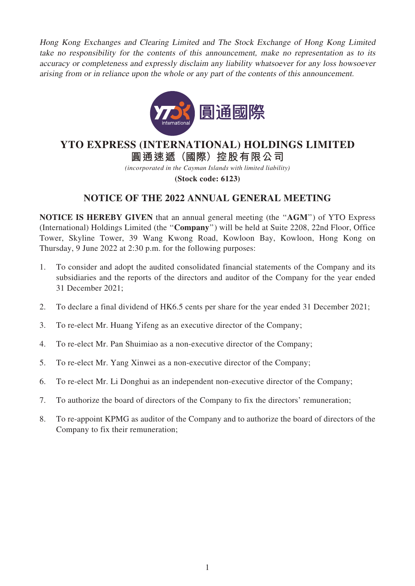Hong Kong Exchanges and Clearing Limited and The Stock Exchange of Hong Kong Limited take no responsibility for the contents of this announcement, make no representation as to its accuracy or completeness and expressly disclaim any liability whatsoever for any loss howsoever arising from or in reliance upon the whole or any part of the contents of this announcement.



# **YTO EXPRESS (INTERNATIONAL) HOLDINGS LIMITED**

**圓通速遞(國際)控股有限公司**

*(incorporated in the Cayman Islands with limited liability)*

**(Stock code: 6123)**

## NOTICE OF THE 2022 ANNUAL GENERAL MEETING

NOTICE IS HEREBY GIVEN that an annual general meeting (the ''AGM'') of YTO Express (International) Holdings Limited (the ''Company'') will be held at Suite 2208, 22nd Floor, Office Tower, Skyline Tower, 39 Wang Kwong Road, Kowloon Bay, Kowloon, Hong Kong on Thursday, 9 June 2022 at 2:30 p.m. for the following purposes:

- 1. To consider and adopt the audited consolidated financial statements of the Company and its subsidiaries and the reports of the directors and auditor of the Company for the year ended 31 December 2021;
- 2. To declare a final dividend of HK6.5 cents per share for the year ended 31 December 2021;
- 3. To re-elect Mr. Huang Yifeng as an executive director of the Company;
- 4. To re-elect Mr. Pan Shuimiao as a non-executive director of the Company;
- 5. To re-elect Mr. Yang Xinwei as a non-executive director of the Company;
- 6. To re-elect Mr. Li Donghui as an independent non-executive director of the Company;
- 7. To authorize the board of directors of the Company to fix the directors' remuneration;
- 8. To re-appoint KPMG as auditor of the Company and to authorize the board of directors of the Company to fix their remuneration;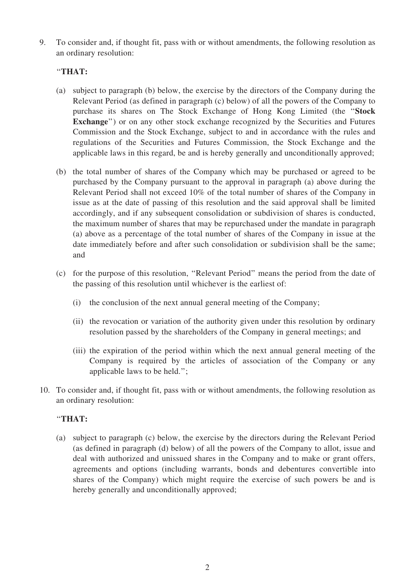9. To consider and, if thought fit, pass with or without amendments, the following resolution as an ordinary resolution:

### ''THAT:

- (a) subject to paragraph (b) below, the exercise by the directors of the Company during the Relevant Period (as defined in paragraph (c) below) of all the powers of the Company to purchase its shares on The Stock Exchange of Hong Kong Limited (the ''Stock Exchange'') or on any other stock exchange recognized by the Securities and Futures Commission and the Stock Exchange, subject to and in accordance with the rules and regulations of the Securities and Futures Commission, the Stock Exchange and the applicable laws in this regard, be and is hereby generally and unconditionally approved;
- (b) the total number of shares of the Company which may be purchased or agreed to be purchased by the Company pursuant to the approval in paragraph (a) above during the Relevant Period shall not exceed 10% of the total number of shares of the Company in issue as at the date of passing of this resolution and the said approval shall be limited accordingly, and if any subsequent consolidation or subdivision of shares is conducted, the maximum number of shares that may be repurchased under the mandate in paragraph (a) above as a percentage of the total number of shares of the Company in issue at the date immediately before and after such consolidation or subdivision shall be the same; and
- (c) for the purpose of this resolution, ''Relevant Period'' means the period from the date of the passing of this resolution until whichever is the earliest of:
	- (i) the conclusion of the next annual general meeting of the Company;
	- (ii) the revocation or variation of the authority given under this resolution by ordinary resolution passed by the shareholders of the Company in general meetings; and
	- (iii) the expiration of the period within which the next annual general meeting of the Company is required by the articles of association of the Company or any applicable laws to be held.'';
- 10. To consider and, if thought fit, pass with or without amendments, the following resolution as an ordinary resolution:

#### ''THAT:

(a) subject to paragraph (c) below, the exercise by the directors during the Relevant Period (as defined in paragraph (d) below) of all the powers of the Company to allot, issue and deal with authorized and unissued shares in the Company and to make or grant offers, agreements and options (including warrants, bonds and debentures convertible into shares of the Company) which might require the exercise of such powers be and is hereby generally and unconditionally approved;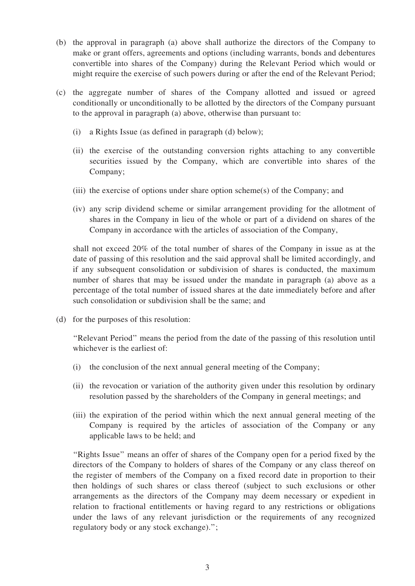- (b) the approval in paragraph (a) above shall authorize the directors of the Company to make or grant offers, agreements and options (including warrants, bonds and debentures convertible into shares of the Company) during the Relevant Period which would or might require the exercise of such powers during or after the end of the Relevant Period;
- (c) the aggregate number of shares of the Company allotted and issued or agreed conditionally or unconditionally to be allotted by the directors of the Company pursuant to the approval in paragraph (a) above, otherwise than pursuant to:
	- (i) a Rights Issue (as defined in paragraph (d) below);
	- (ii) the exercise of the outstanding conversion rights attaching to any convertible securities issued by the Company, which are convertible into shares of the Company;
	- (iii) the exercise of options under share option scheme(s) of the Company; and
	- (iv) any scrip dividend scheme or similar arrangement providing for the allotment of shares in the Company in lieu of the whole or part of a dividend on shares of the Company in accordance with the articles of association of the Company,

shall not exceed 20% of the total number of shares of the Company in issue as at the date of passing of this resolution and the said approval shall be limited accordingly, and if any subsequent consolidation or subdivision of shares is conducted, the maximum number of shares that may be issued under the mandate in paragraph (a) above as a percentage of the total number of issued shares at the date immediately before and after such consolidation or subdivision shall be the same; and

(d) for the purposes of this resolution:

''Relevant Period'' means the period from the date of the passing of this resolution until whichever is the earliest of:

- (i) the conclusion of the next annual general meeting of the Company;
- (ii) the revocation or variation of the authority given under this resolution by ordinary resolution passed by the shareholders of the Company in general meetings; and
- (iii) the expiration of the period within which the next annual general meeting of the Company is required by the articles of association of the Company or any applicable laws to be held; and

''Rights Issue'' means an offer of shares of the Company open for a period fixed by the directors of the Company to holders of shares of the Company or any class thereof on the register of members of the Company on a fixed record date in proportion to their then holdings of such shares or class thereof (subject to such exclusions or other arrangements as the directors of the Company may deem necessary or expedient in relation to fractional entitlements or having regard to any restrictions or obligations under the laws of any relevant jurisdiction or the requirements of any recognized regulatory body or any stock exchange).'';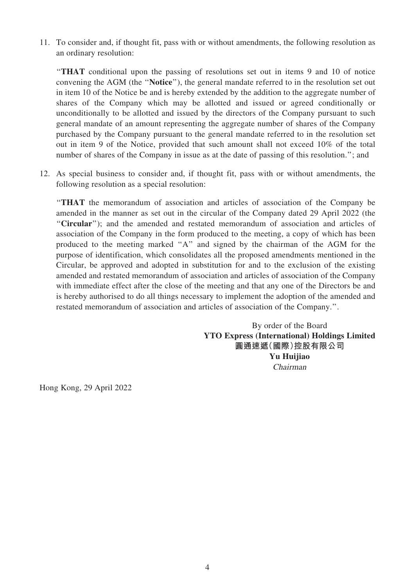11. To consider and, if thought fit, pass with or without amendments, the following resolution as an ordinary resolution:

''THAT conditional upon the passing of resolutions set out in items 9 and 10 of notice convening the AGM (the ''Notice''), the general mandate referred to in the resolution set out in item 10 of the Notice be and is hereby extended by the addition to the aggregate number of shares of the Company which may be allotted and issued or agreed conditionally or unconditionally to be allotted and issued by the directors of the Company pursuant to such general mandate of an amount representing the aggregate number of shares of the Company purchased by the Company pursuant to the general mandate referred to in the resolution set out in item 9 of the Notice, provided that such amount shall not exceed 10% of the total number of shares of the Company in issue as at the date of passing of this resolution."; and

12. As special business to consider and, if thought fit, pass with or without amendments, the following resolution as a special resolution:

''THAT the memorandum of association and articles of association of the Company be amended in the manner as set out in the circular of the Company dated 29 April 2022 (the ''Circular''); and the amended and restated memorandum of association and articles of association of the Company in the form produced to the meeting, a copy of which has been produced to the meeting marked ''A'' and signed by the chairman of the AGM for the purpose of identification, which consolidates all the proposed amendments mentioned in the Circular, be approved and adopted in substitution for and to the exclusion of the existing amended and restated memorandum of association and articles of association of the Company with immediate effect after the close of the meeting and that any one of the Directors be and is hereby authorised to do all things necessary to implement the adoption of the amended and restated memorandum of association and articles of association of the Company.''.

> By order of the Board YTO Express (International) Holdings Limited 圓通速遞(國際)控股有限公司 Yu Huijiao Chairman

Hong Kong, 29 April 2022